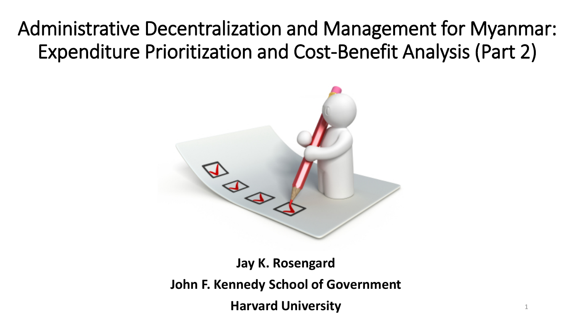### Administrative Decentralization and Management for Myanmar: Expenditure Prioritization and Cost-Benefit Analysis (Part 2)



**Jay K. Rosengard John F. Kennedy School of Government Harvard University**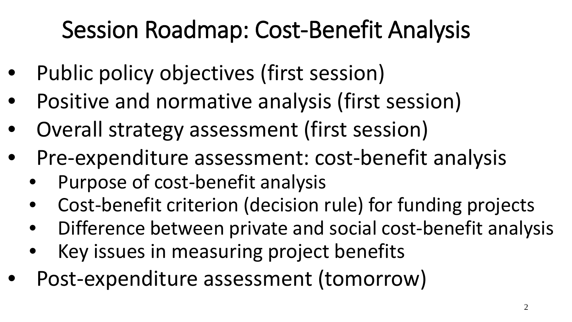# Session Roadmap: Cost-Benefit Analysis

- Public policy objectives (first session)
- Positive and normative analysis (first session)
- Overall strategy assessment (first session)
- Pre-expenditure assessment: cost-benefit analysis
	- Purpose of cost-benefit analysis
	- Cost-benefit criterion (decision rule) for funding projects
	- Difference between private and social cost-benefit analysis
	- Key issues in measuring project benefits
- Post-expenditure assessment (tomorrow)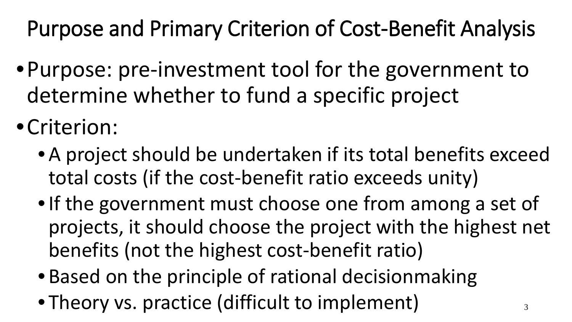Purpose and Primary Criterion of Cost-Benefit Analysis

- •Purpose: pre-investment tool for the government to determine whether to fund a specific project
- •Criterion:
	- A project should be undertaken if its total benefits exceed total costs (if the cost-benefit ratio exceeds unity)
	- •If the government must choose one from among a set of projects, it should choose the project with the highest net benefits (not the highest cost-benefit ratio)
	- Based on the principle of rational decisionmaking
	- Theory vs. practice (difficult to implement)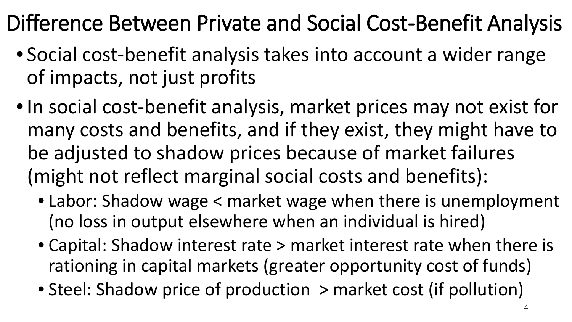## Difference Between Private and Social Cost-Benefit Analysis

- Social cost-benefit analysis takes into account a wider range of impacts, not just profits
- •In social cost-benefit analysis, market prices may not exist for many costs and benefits, and if they exist, they might have to be adjusted to shadow prices because of market failures (might not reflect marginal social costs and benefits):
	- Labor: Shadow wage < market wage when there is unemployment (no loss in output elsewhere when an individual is hired)
	- Capital: Shadow interest rate > market interest rate when there is rationing in capital markets (greater opportunity cost of funds)
	- Steel: Shadow price of production > market cost (if pollution)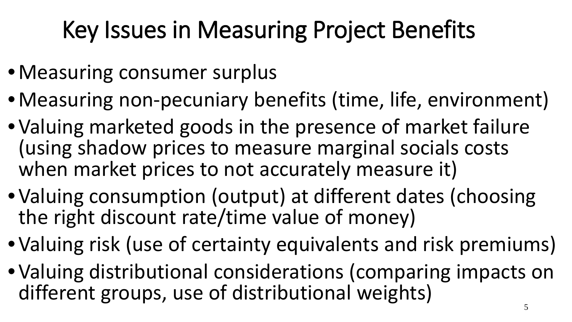# Key Issues in Measuring Project Benefits

- •Measuring consumer surplus
- •Measuring non-pecuniary benefits (time, life, environment)
- •Valuing marketed goods in the presence of market failure (using shadow prices to measure marginal socials costs when market prices to not accurately measure it)
- •Valuing consumption (output) at different dates (choosing the right discount rate/time value of money)
- •Valuing risk (use of certainty equivalents and risk premiums)
- •Valuing distributional considerations (comparing impacts on different groups, use of distributional weights)